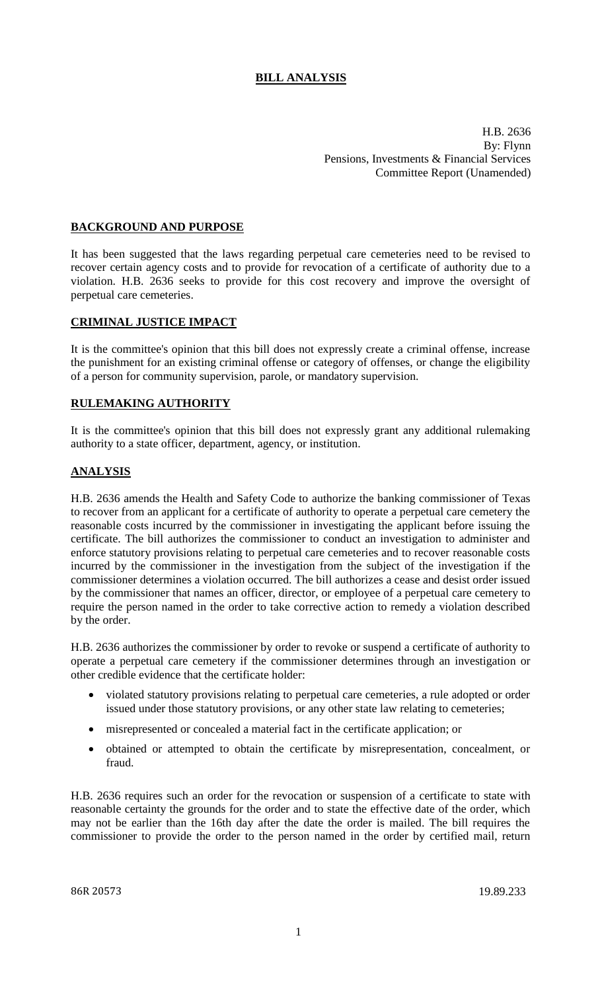# **BILL ANALYSIS**

H.B. 2636 By: Flynn Pensions, Investments & Financial Services Committee Report (Unamended)

## **BACKGROUND AND PURPOSE**

It has been suggested that the laws regarding perpetual care cemeteries need to be revised to recover certain agency costs and to provide for revocation of a certificate of authority due to a violation. H.B. 2636 seeks to provide for this cost recovery and improve the oversight of perpetual care cemeteries.

## **CRIMINAL JUSTICE IMPACT**

It is the committee's opinion that this bill does not expressly create a criminal offense, increase the punishment for an existing criminal offense or category of offenses, or change the eligibility of a person for community supervision, parole, or mandatory supervision.

#### **RULEMAKING AUTHORITY**

It is the committee's opinion that this bill does not expressly grant any additional rulemaking authority to a state officer, department, agency, or institution.

## **ANALYSIS**

H.B. 2636 amends the Health and Safety Code to authorize the banking commissioner of Texas to recover from an applicant for a certificate of authority to operate a perpetual care cemetery the reasonable costs incurred by the commissioner in investigating the applicant before issuing the certificate. The bill authorizes the commissioner to conduct an investigation to administer and enforce statutory provisions relating to perpetual care cemeteries and to recover reasonable costs incurred by the commissioner in the investigation from the subject of the investigation if the commissioner determines a violation occurred. The bill authorizes a cease and desist order issued by the commissioner that names an officer, director, or employee of a perpetual care cemetery to require the person named in the order to take corrective action to remedy a violation described by the order.

H.B. 2636 authorizes the commissioner by order to revoke or suspend a certificate of authority to operate a perpetual care cemetery if the commissioner determines through an investigation or other credible evidence that the certificate holder:

- violated statutory provisions relating to perpetual care cemeteries, a rule adopted or order issued under those statutory provisions, or any other state law relating to cemeteries;
- misrepresented or concealed a material fact in the certificate application; or
- obtained or attempted to obtain the certificate by misrepresentation, concealment, or fraud.

H.B. 2636 requires such an order for the revocation or suspension of a certificate to state with reasonable certainty the grounds for the order and to state the effective date of the order, which may not be earlier than the 16th day after the date the order is mailed. The bill requires the commissioner to provide the order to the person named in the order by certified mail, return